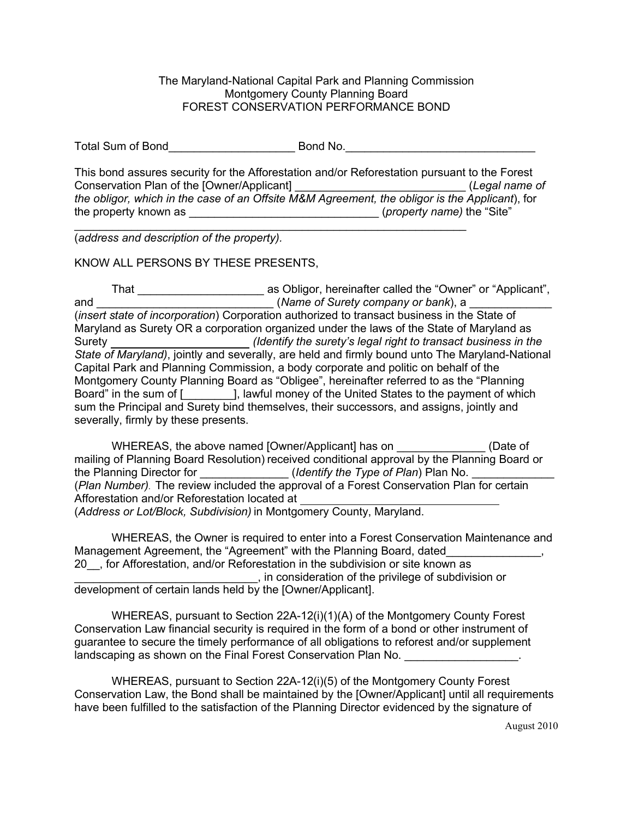The Maryland-National Capital Park and Planning Commission Montgomery County Planning Board FOREST CONSERVATION PERFORMANCE BOND

Total Sum of Bond Total Sum of Bond No.

This bond assures security for the Afforestation and/or Reforestation pursuant to the Forest Conservation Plan of the [Owner/Applicant] \_\_\_\_\_\_\_\_\_\_\_\_\_\_\_\_\_\_\_\_\_\_\_\_\_\_\_ (*Legal name of the obligor, which in the case of an Offsite M&M Agreement, the obligor is the Applicant*), for the property known as \_\_\_\_\_\_\_\_\_\_\_\_\_\_\_\_\_\_\_\_\_\_\_\_\_\_\_\_\_\_ (*property name)* the "Site" \_\_\_\_\_\_\_\_\_\_\_\_\_\_\_\_\_\_\_\_\_\_\_\_\_\_\_\_\_\_\_\_\_\_\_\_\_\_\_\_\_\_\_\_\_\_\_\_\_\_\_\_\_\_\_\_\_\_\_\_\_\_

(*address and description of the property).* 

KNOW ALL PERSONS BY THESE PRESENTS,

That \_\_\_\_\_\_\_\_\_\_\_\_\_\_\_\_\_\_\_\_ as Obligor, hereinafter called the "Owner" or "Applicant", and \_\_\_\_\_\_\_\_\_\_\_\_\_\_\_\_\_\_\_\_\_\_\_\_\_\_\_\_ (*Name of Surety company or bank*), a \_\_\_\_\_\_\_\_\_\_\_\_\_ (*insert state of incorporation*) Corporation authorized to transact business in the State of Maryland as Surety OR a corporation organized under the laws of the State of Maryland as Surety *(Identify the surety's legal right to transact business in the State of Maryland)*, jointly and severally, are held and firmly bound unto The Maryland-National Capital Park and Planning Commission, a body corporate and politic on behalf of the Montgomery County Planning Board as "Obligee", hereinafter referred to as the "Planning Board" in the sum of [Chington Lawful money of the United States to the payment of which sum the Principal and Surety bind themselves, their successors, and assigns, jointly and severally, firmly by these presents.

WHEREAS, the above named [Owner/Applicant] has on \_\_\_\_\_\_\_\_\_\_\_\_\_\_\_ (Date of mailing of Planning Board Resolution) received conditional approval by the Planning Board or the Planning Director for \_\_\_\_\_\_\_\_\_\_\_\_\_\_\_(*Identify the Type of Plan*) Plan No. \_ (*Plan Number)*. The review included the approval of a Forest Conservation Plan for certain Afforestation and/or Reforestation located at (*Address or Lot/Block, Subdivision)* in Montgomery County, Maryland.

WHEREAS, the Owner is required to enter into a Forest Conservation Maintenance and Management Agreement, the "Agreement" with the Planning Board, dated\_\_\_\_\_\_\_\_\_\_\_\_, 20\_\_, for Afforestation, and/or Reforestation in the subdivision or site known as \_\_\_\_\_\_\_\_\_\_\_\_\_\_\_\_\_\_\_\_\_\_\_\_\_\_\_\_\_, in consideration of the privilege of subdivision or development of certain lands held by the [Owner/Applicant].

WHEREAS, pursuant to Section 22A-12(i)(1)(A) of the Montgomery County Forest Conservation Law financial security is required in the form of a bond or other instrument of guarantee to secure the timely performance of all obligations to reforest and/or supplement landscaping as shown on the Final Forest Conservation Plan No.

WHEREAS, pursuant to Section 22A-12(i)(5) of the Montgomery County Forest Conservation Law, the Bond shall be maintained by the [Owner/Applicant] until all requirements have been fulfilled to the satisfaction of the Planning Director evidenced by the signature of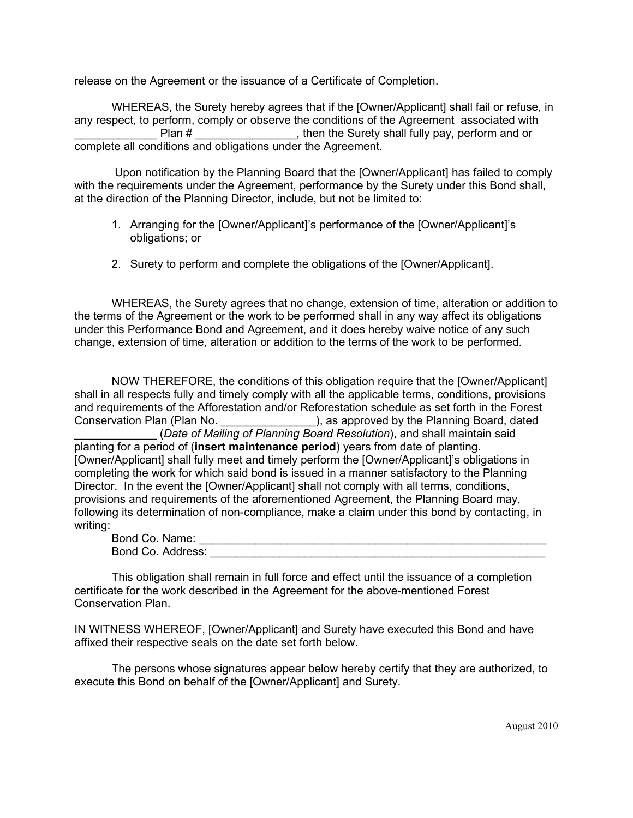release on the Agreement or the issuance of a Certificate of Completion.

WHEREAS, the Surety hereby agrees that if the [Owner/Applicant] shall fail or refuse, in any respect, to perform, comply or observe the conditions of the Agreement associated with Plan # \_\_\_\_\_\_\_\_\_\_\_\_\_\_\_\_, then the Surety shall fully pay, perform and or complete all conditions and obligations under the Agreement.

Upon notification by the Planning Board that the [Owner/Applicant] has failed to comply with the requirements under the Agreement, performance by the Surety under this Bond shall, at the direction of the Planning Director, include, but not be limited to:

- 1. Arranging for the [Owner/Applicant]'s performance of the [Owner/Applicant]'s obligations; or
- 2. Surety to perform and complete the obligations of the [Owner/Applicant].

WHEREAS, the Surety agrees that no change, extension of time, alteration or addition to the terms of the Agreement or the work to be performed shall in any way affect its obligations under this Performance Bond and Agreement, and it does hereby waive notice of any such change, extension of time, alteration or addition to the terms of the work to be performed.

NOW THEREFORE, the conditions of this obligation require that the [Owner/Applicant] shall in all respects fully and timely comply with all the applicable terms, conditions, provisions and requirements of the Afforestation and/or Reforestation schedule as set forth in the Forest Conservation Plan (Plan No.  $\qquad \qquad$ ), as approved by the Planning Board, dated (*Date of Mailing of Planning Board Resolution*), and shall maintain said planting for a period of (**insert maintenance period**) years from date of planting. [Owner/Applicant] shall fully meet and timely perform the [Owner/Applicant]'s obligations in completing the work for which said bond is issued in a manner satisfactory to the Planning Director. In the event the [Owner/Applicant] shall not comply with all terms, conditions, provisions and requirements of the aforementioned Agreement, the Planning Board may, following its determination of non-compliance, make a claim under this bond by contacting, in writing:

| Bond Co. Name:    |  |
|-------------------|--|
| Bond Co. Address: |  |

This obligation shall remain in full force and effect until the issuance of a completion certificate for the work described in the Agreement for the above-mentioned Forest Conservation Plan.

IN WITNESS WHEREOF, [Owner/Applicant] and Surety have executed this Bond and have affixed their respective seals on the date set forth below.

The persons whose signatures appear below hereby certify that they are authorized, to execute this Bond on behalf of the [Owner/Applicant] and Surety.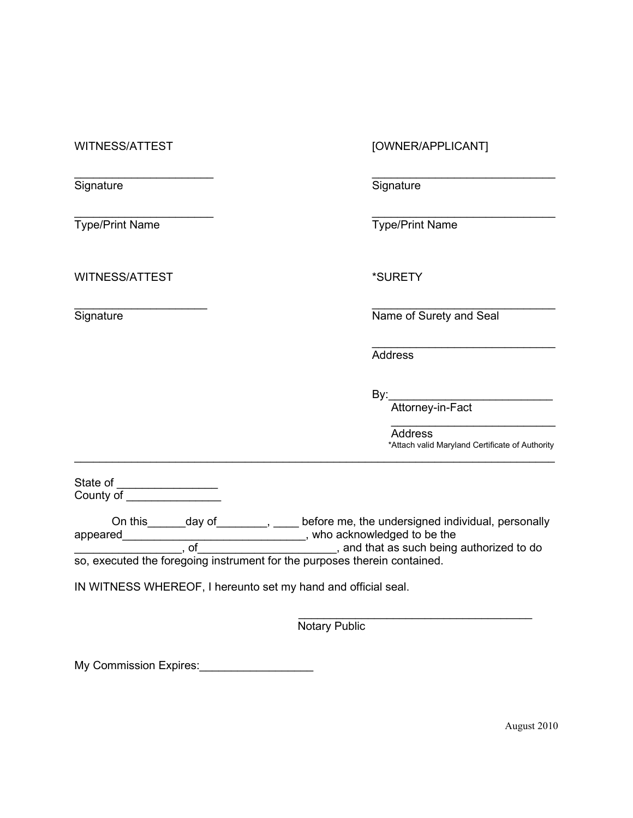Signature Signature Signature Signature Signature

WITNESS/ATTEST \*SURETY

WITNESS/ATTEST [OWNER/APPLICANT]

 $\mathcal{L}_\mathcal{L}$  , and the contribution of the contribution of the contribution of the contribution of the contribution of the contribution of the contribution of the contribution of the contribution of the contribution of

\_\_\_\_\_\_\_\_\_\_\_\_\_\_\_\_\_\_\_\_\_\_ \_\_\_\_\_\_\_\_\_\_\_\_\_\_\_\_\_\_\_\_\_\_\_\_\_\_\_\_\_ Type/Print Name Type/Print Name

 $\mathcal{L}_\text{max}$  , and the contract of the contract of the contract of the contract of the contract of the contract of Signature **Name of Surety and Seal** 

> $\mathcal{L}_\text{max}$  , which is a set of the set of the set of the set of the set of the set of the set of the set of the set of the set of the set of the set of the set of the set of the set of the set of the set of the set of **Address**

By:\_\_\_\_\_\_\_\_\_\_\_\_\_\_\_\_\_\_\_\_\_\_\_\_\_\_

Attorney-in-Fact

 $\overline{\phantom{a}}$  , where the contract of the contract of the contract of the contract of the contract of the contract of the contract of the contract of the contract of the contract of the contract of the contract of the contr Address \*Attach valid Maryland Certificate of Authority

State of \_\_\_\_\_\_\_\_\_\_\_\_\_\_\_\_\_\_ County of \_\_\_\_\_\_\_\_\_\_\_\_\_\_\_

On this\_\_\_\_\_\_day of\_\_\_\_\_\_\_\_, \_\_\_\_ before me, the undersigned individual, personally appeared\_\_\_\_\_\_\_\_\_\_\_\_\_\_\_\_\_\_\_\_\_\_\_\_\_\_\_\_\_\_\_\_\_, who acknowledged to be the \_\_\_\_\_\_\_\_\_\_\_\_\_\_\_\_\_, of\_\_\_\_\_\_\_\_\_\_\_\_\_\_\_\_\_\_\_\_\_\_, and that as such being authorized to do so, executed the foregoing instrument for the purposes therein contained.

\_\_\_\_\_\_\_\_\_\_\_\_\_\_\_\_\_\_\_\_\_\_\_\_\_\_\_\_\_\_\_\_\_\_\_\_\_\_\_\_\_\_\_\_\_\_\_\_\_\_\_\_\_\_\_\_\_\_\_\_\_\_\_\_\_\_\_\_\_\_\_\_\_\_\_\_

IN WITNESS WHEREOF, I hereunto set my hand and official seal.

 $\overline{\phantom{a}}$  , where the contract of the contract of the contract of the contract of the contract of the contract of the contract of the contract of the contract of the contract of the contract of the contract of the contr Notary Public

My Commission Expires: